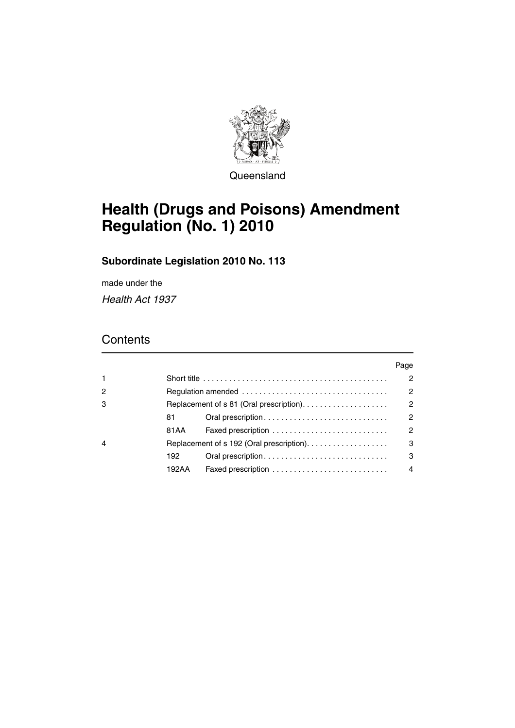

**Queensland** 

# **Health (Drugs and Poisons) Amendment Regulation (No. 1) 2010**

# **Subordinate Legislation 2010 No. 113**

made under the *Health Act 1937*

# **Contents**

|                |                                         |                    | Page           |
|----------------|-----------------------------------------|--------------------|----------------|
| $\mathbf{1}$   |                                         |                    | 2              |
| $\overline{c}$ |                                         |                    | $\mathcal{P}$  |
| 3              | Replacement of s 81 (Oral prescription) |                    | $\mathcal{P}$  |
|                | 81                                      |                    | $\overline{2}$ |
|                | 81 A A                                  |                    | $\overline{2}$ |
| 4              |                                         |                    | 3              |
|                | 192                                     |                    | 3              |
|                | 192AA                                   | Faxed prescription | 4              |
|                |                                         |                    |                |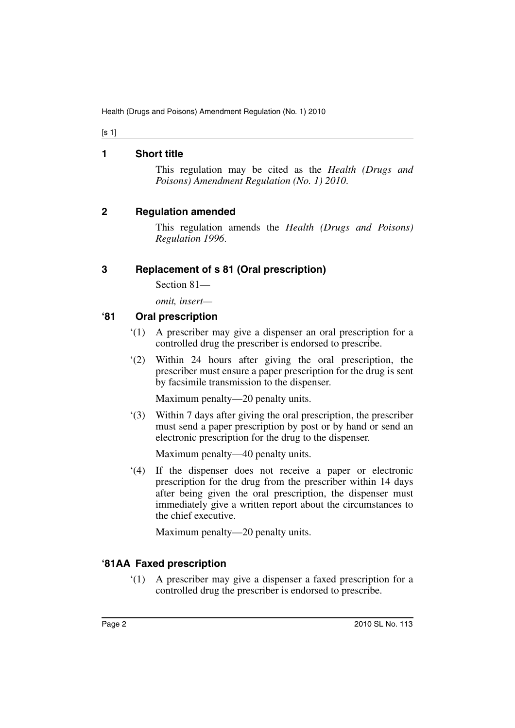[s 1]

#### <span id="page-1-0"></span>**1 Short title**

This regulation may be cited as the *Health (Drugs and Poisons) Amendment Regulation (No. 1) 2010*.

#### <span id="page-1-1"></span>**2 Regulation amended**

This regulation amends the *Health (Drugs and Poisons) Regulation 1996*.

# <span id="page-1-2"></span>**3 Replacement of s 81 (Oral prescription)**

Section 81—

*omit, insert—*

#### <span id="page-1-3"></span>**'81 Oral prescription**

- '(1) A prescriber may give a dispenser an oral prescription for a controlled drug the prescriber is endorsed to prescribe.
- '(2) Within 24 hours after giving the oral prescription, the prescriber must ensure a paper prescription for the drug is sent by facsimile transmission to the dispenser.

Maximum penalty—20 penalty units.

'(3) Within 7 days after giving the oral prescription, the prescriber must send a paper prescription by post or by hand or send an electronic prescription for the drug to the dispenser.

Maximum penalty—40 penalty units.

'(4) If the dispenser does not receive a paper or electronic prescription for the drug from the prescriber within 14 days after being given the oral prescription, the dispenser must immediately give a written report about the circumstances to the chief executive.

Maximum penalty—20 penalty units.

# <span id="page-1-4"></span>**'81AA Faxed prescription**

'(1) A prescriber may give a dispenser a faxed prescription for a controlled drug the prescriber is endorsed to prescribe.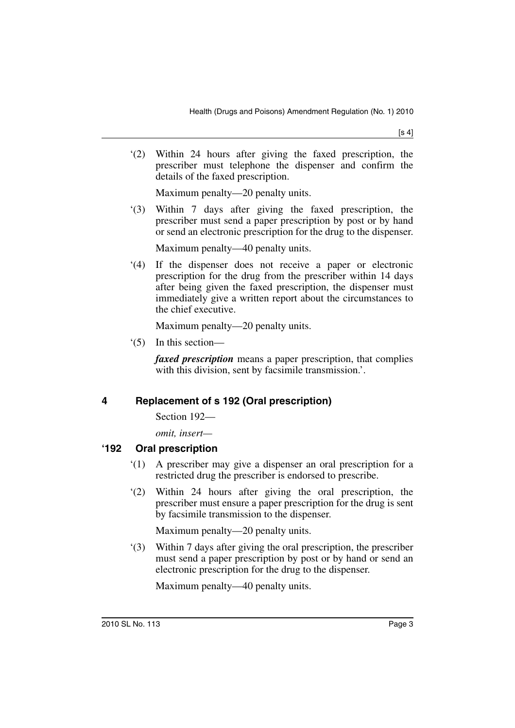'(2) Within 24 hours after giving the faxed prescription, the prescriber must telephone the dispenser and confirm the details of the faxed prescription.

Maximum penalty—20 penalty units.

'(3) Within 7 days after giving the faxed prescription, the prescriber must send a paper prescription by post or by hand or send an electronic prescription for the drug to the dispenser.

Maximum penalty—40 penalty units.

'(4) If the dispenser does not receive a paper or electronic prescription for the drug from the prescriber within 14 days after being given the faxed prescription, the dispenser must immediately give a written report about the circumstances to the chief executive.

Maximum penalty—20 penalty units.

'(5) In this section—

*faxed prescription* means a paper prescription, that complies with this division, sent by facsimile transmission.'.

# <span id="page-2-0"></span>**4 Replacement of s 192 (Oral prescription)**

Section 192—

*omit, insert—*

#### <span id="page-2-1"></span>**'192 Oral prescription**

- '(1) A prescriber may give a dispenser an oral prescription for a restricted drug the prescriber is endorsed to prescribe.
- '(2) Within 24 hours after giving the oral prescription, the prescriber must ensure a paper prescription for the drug is sent by facsimile transmission to the dispenser.

Maximum penalty—20 penalty units.

'(3) Within 7 days after giving the oral prescription, the prescriber must send a paper prescription by post or by hand or send an electronic prescription for the drug to the dispenser.

Maximum penalty—40 penalty units.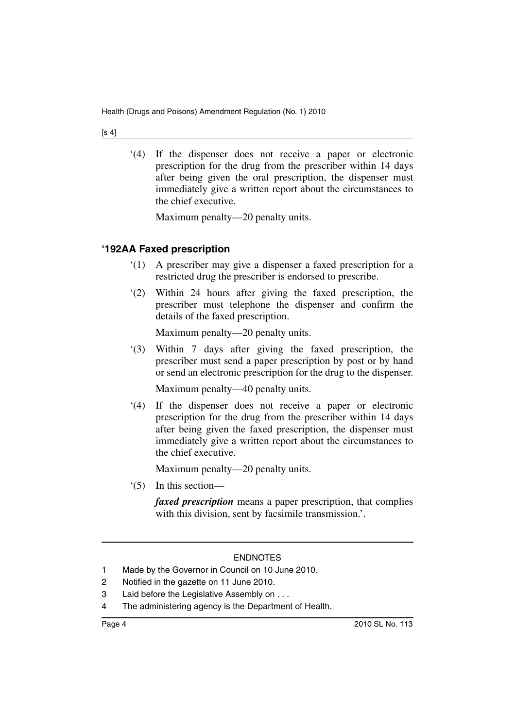[s 4]

'(4) If the dispenser does not receive a paper or electronic prescription for the drug from the prescriber within 14 days after being given the oral prescription, the dispenser must immediately give a written report about the circumstances to the chief executive.

Maximum penalty—20 penalty units.

# <span id="page-3-0"></span>**'192AA Faxed prescription**

- '(1) A prescriber may give a dispenser a faxed prescription for a restricted drug the prescriber is endorsed to prescribe.
- '(2) Within 24 hours after giving the faxed prescription, the prescriber must telephone the dispenser and confirm the details of the faxed prescription.

Maximum penalty—20 penalty units.

'(3) Within 7 days after giving the faxed prescription, the prescriber must send a paper prescription by post or by hand or send an electronic prescription for the drug to the dispenser.

Maximum penalty—40 penalty units.

'(4) If the dispenser does not receive a paper or electronic prescription for the drug from the prescriber within 14 days after being given the faxed prescription, the dispenser must immediately give a written report about the circumstances to the chief executive.

Maximum penalty—20 penalty units.

'(5) In this section—

*faxed prescription* means a paper prescription, that complies with this division, sent by facsimile transmission.'.

#### ENDNOTES

- 1 Made by the Governor in Council on 10 June 2010.
- 2 Notified in the gazette on 11 June 2010.
- 3 Laid before the Legislative Assembly on . . .
- 4 The administering agency is the Department of Health.